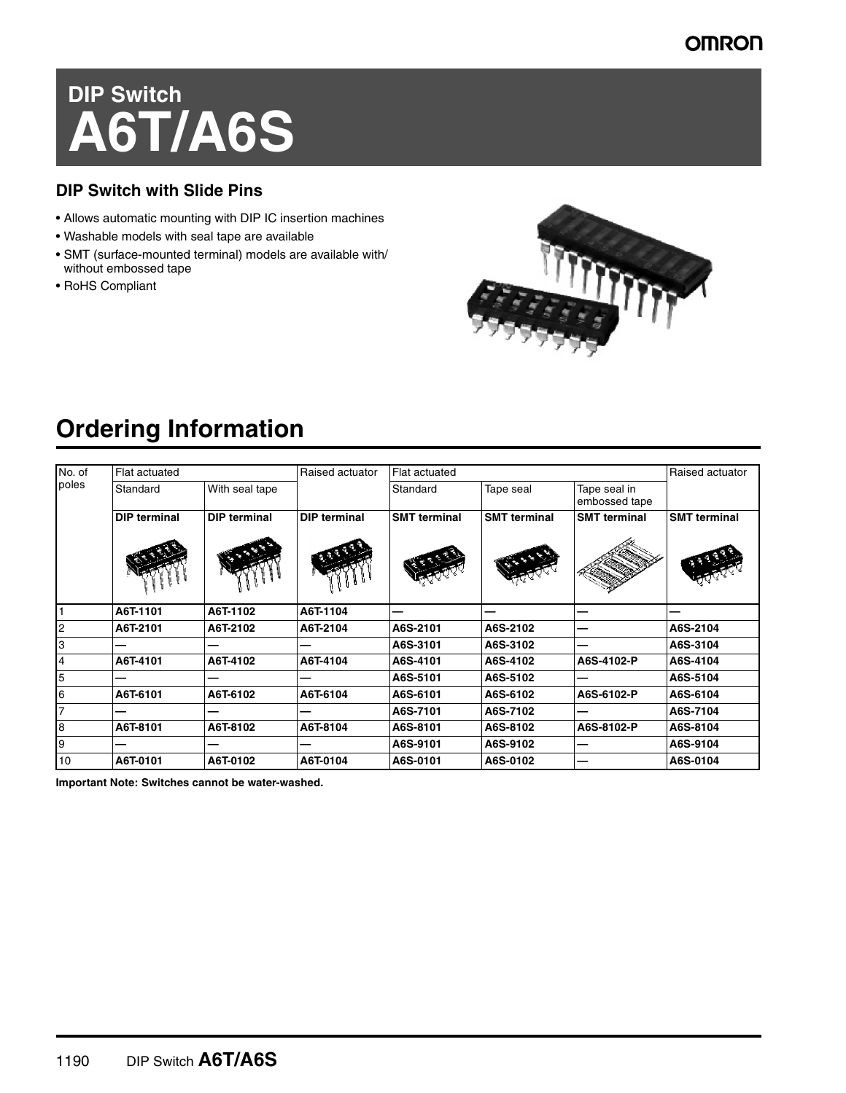#### **OMRON**

# **DIP Switch A6T/A6S**

#### **DIP Switch with Slide Pins**

- Allows automatic mounting with DIP IC insertion machines
- Washable models with seal tape are available
- SMT (surface-mounted terminal) models are available with/ without embossed tape
- RoHS Compliant



# **Ordering Information**

| No. of<br>poles | Flat actuated       |                     | Raised actuator     | Flat actuated       |                     |                               | Raised actuator     |
|-----------------|---------------------|---------------------|---------------------|---------------------|---------------------|-------------------------------|---------------------|
|                 | Standard            | With seal tape      |                     | Standard            | Tape seal           | Tape seal in<br>embossed tape |                     |
|                 | <b>DIP terminal</b> | <b>DIP terminal</b> | <b>DIP terminal</b> | <b>SMT terminal</b> | <b>SMT terminal</b> | <b>SMT</b> terminal           | <b>SMT terminal</b> |
|                 |                     |                     |                     |                     |                     |                               |                     |
|                 | A6T-1101            | A6T-1102            | A6T-1104            |                     |                     |                               |                     |
| $\overline{c}$  | A6T-2101            | A6T-2102            | A6T-2104            | A6S-2101            | A6S-2102            |                               | A6S-2104            |
| 3               |                     |                     |                     | A6S-3101            | A6S-3102            |                               | A6S-3104            |
| $\overline{4}$  | A6T-4101            | A6T-4102            | A6T-4104            | A6S-4101            | A6S-4102            | A6S-4102-P                    | A6S-4104            |
| $5\overline{5}$ |                     |                     |                     | A6S-5101            | A6S-5102            |                               | A6S-5104            |
| 6               | A6T-6101            | A6T-6102            | A6T-6104            | A6S-6101            | A6S-6102            | A6S-6102-P                    | A6S-6104            |
| $\overline{7}$  |                     |                     |                     | A6S-7101            | A6S-7102            |                               | A6S-7104            |
| $\overline{8}$  | A6T-8101            | A6T-8102            | A6T-8104            | A6S-8101            | A6S-8102            | A6S-8102-P                    | A6S-8104            |
| 9               |                     |                     |                     | A6S-9101            | A6S-9102            |                               | A6S-9104            |
| 10              | A6T-0101            | A6T-0102            | A6T-0104            | A6S-0101            | A6S-0102            |                               | A6S-0104            |

**Important Note: Switches cannot be water-washed.**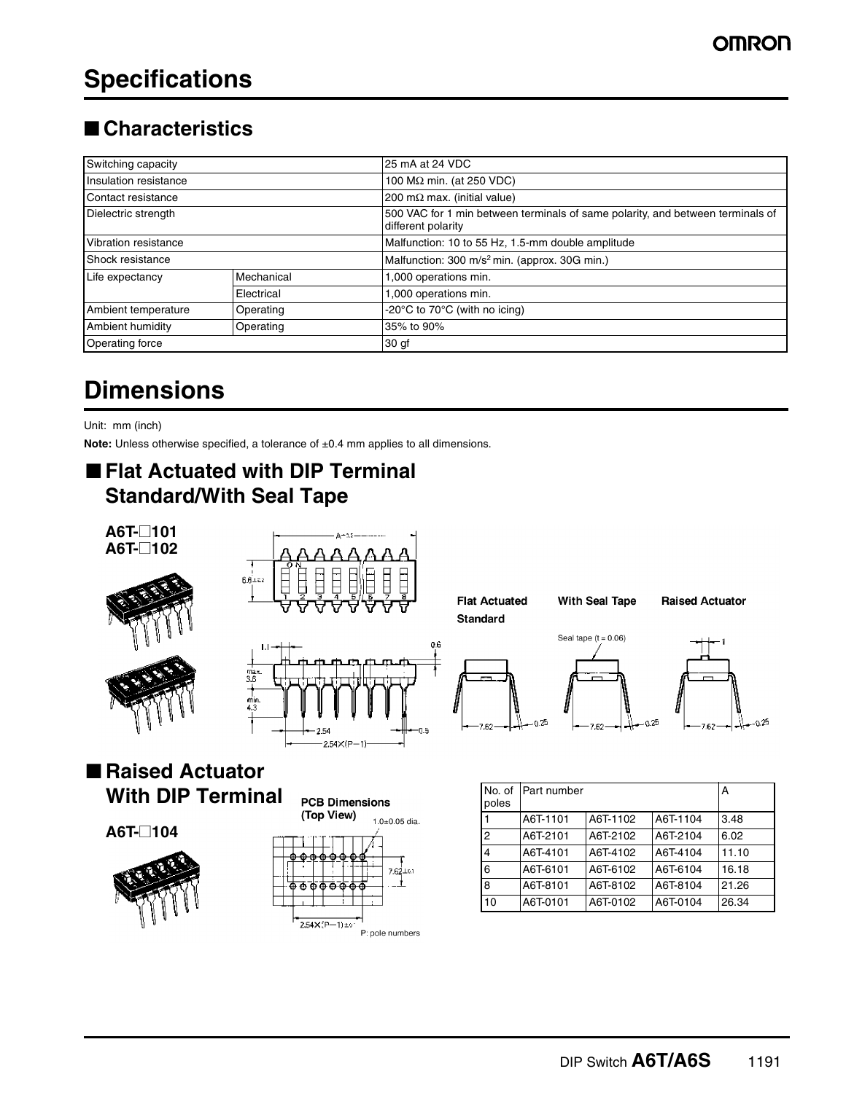# **Specifications**

#### ■ **Characteristics**

| Switching capacity                      |            | 25 mA at 24 VDC                                                                                      |  |  |
|-----------------------------------------|------------|------------------------------------------------------------------------------------------------------|--|--|
| Insulation resistance                   |            | 100 M $\Omega$ min. (at 250 VDC)                                                                     |  |  |
| Contact resistance                      |            | 200 m $\Omega$ max. (initial value)                                                                  |  |  |
| Dielectric strength                     |            | 500 VAC for 1 min between terminals of same polarity, and between terminals of<br>different polarity |  |  |
| Vibration resistance                    |            | Malfunction: 10 to 55 Hz, 1.5-mm double amplitude                                                    |  |  |
| Shock resistance                        |            | Malfunction: 300 m/s <sup>2</sup> min. (approx. 30G min.)                                            |  |  |
| Life expectancy                         | Mechanical | 1,000 operations min.                                                                                |  |  |
|                                         | Electrical | 1,000 operations min.                                                                                |  |  |
| <b>Ambient temperature</b><br>Operating |            | -20°C to 70°C (with no icing)                                                                        |  |  |
| Ambient humidity<br>Operating           |            | 35% to 90%                                                                                           |  |  |
| Operating force                         |            | 30 <sub>gt</sub>                                                                                     |  |  |

# **Dimensions**

Unit: mm (inch)

**Note:** Unless otherwise specified, a tolerance of ±0.4 mm applies to all dimensions.

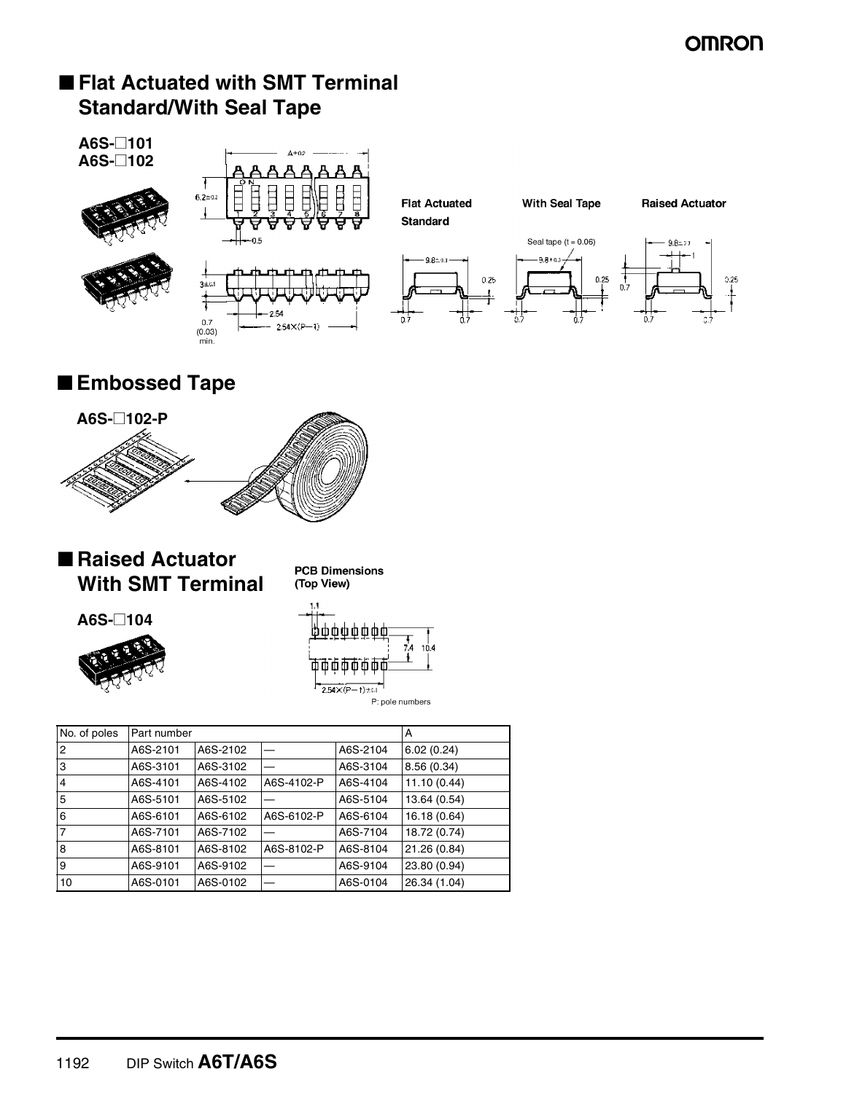#### **OMRON**

#### ■ **Flat Actuated with SMT Terminal Standard/With Seal Tape**



■ **Embossed Tape** 



■ **Raised Actuator With SMT Terminal**

**PCB Dimensions** (Top View)





| No. of poles   | Part number |          |            |          | A            |
|----------------|-------------|----------|------------|----------|--------------|
| $\overline{2}$ | A6S-2101    | A6S-2102 |            | A6S-2104 | 6.02(0.24)   |
| 3              | A6S-3101    | A6S-3102 |            | A6S-3104 | 8.56 (0.34)  |
| $\overline{4}$ | A6S-4101    | A6S-4102 | A6S-4102-P | A6S-4104 | 11.10(0.44)  |
| 5              | A6S-5101    | A6S-5102 |            | A6S-5104 | 13.64 (0.54) |
| 6              | A6S-6101    | A6S-6102 | A6S-6102-P | A6S-6104 | 16.18 (0.64) |
| $\overline{7}$ | A6S-7101    | A6S-7102 |            | A6S-7104 | 18.72 (0.74) |
| $\overline{8}$ | A6S-8101    | A6S-8102 | A6S-8102-P | A6S-8104 | 21.26 (0.84) |
| 9              | A6S-9101    | A6S-9102 |            | A6S-9104 | 23.80 (0.94) |
| 10             | A6S-0101    | A6S-0102 |            | A6S-0104 | 26.34 (1.04) |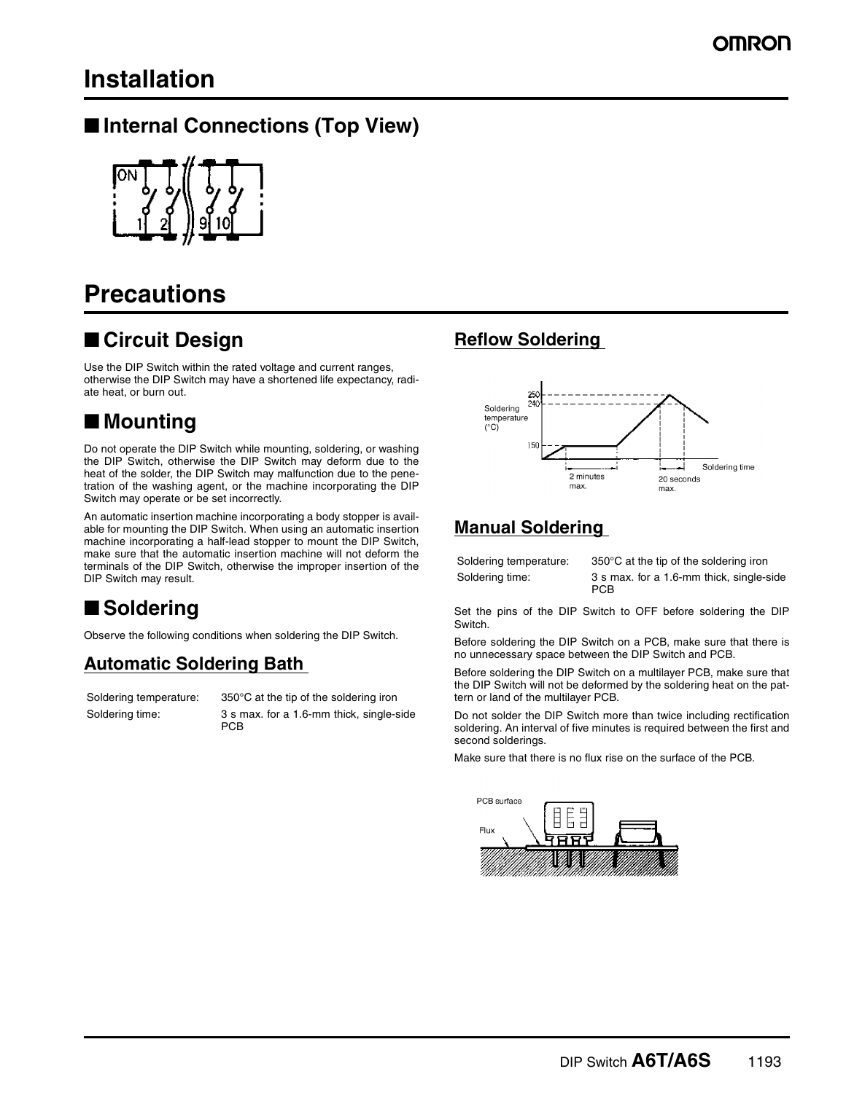## **Installation**

#### ■ **Internal Connections (Top View)**



## **Precautions**

#### ■ Circuit Design

Use the DIP Switch within the rated voltage and current ranges, otherwise the DIP Switch may have a shortened life expectancy, radiate heat, or burn out.

#### ■ **Mounting**

Do not operate the DIP Switch while mounting, soldering, or washing the DIP Switch, otherwise the DIP Switch may deform due to the heat of the solder, the DIP Switch may malfunction due to the penetration of the washing agent, or the machine incorporating the DIP Switch may operate or be set incorrectly.

An automatic insertion machine incorporating a body stopper is available for mounting the DIP Switch. When using an automatic insertion machine incorporating a half-lead stopper to mount the DIP Switch, make sure that the automatic insertion machine will not deform the terminals of the DIP Switch, otherwise the improper insertion of the DIP Switch may result.

### ■ **Soldering**

Observe the following conditions when soldering the DIP Switch.

#### **Automatic Soldering Bath**

Soldering temperature: 350°C at the tip of the soldering iron Soldering time: 3 s max. for a 1.6-mm thick, single-side PCB

#### **Reflow Soldering**



#### **Manual Soldering**

Soldering temperature: 350°C at the tip of the soldering iron

Soldering time: 3 s max. for a 1.6-mm thick, single-side PCB

Set the pins of the DIP Switch to OFF before soldering the DIP Switch.

Before soldering the DIP Switch on a PCB, make sure that there is no unnecessary space between the DIP Switch and PCB.

Before soldering the DIP Switch on a multilayer PCB, make sure that the DIP Switch will not be deformed by the soldering heat on the pattern or land of the multilayer PCB.

Do not solder the DIP Switch more than twice including rectification soldering. An interval of five minutes is required between the first and second solderings.

Make sure that there is no flux rise on the surface of the PCB.

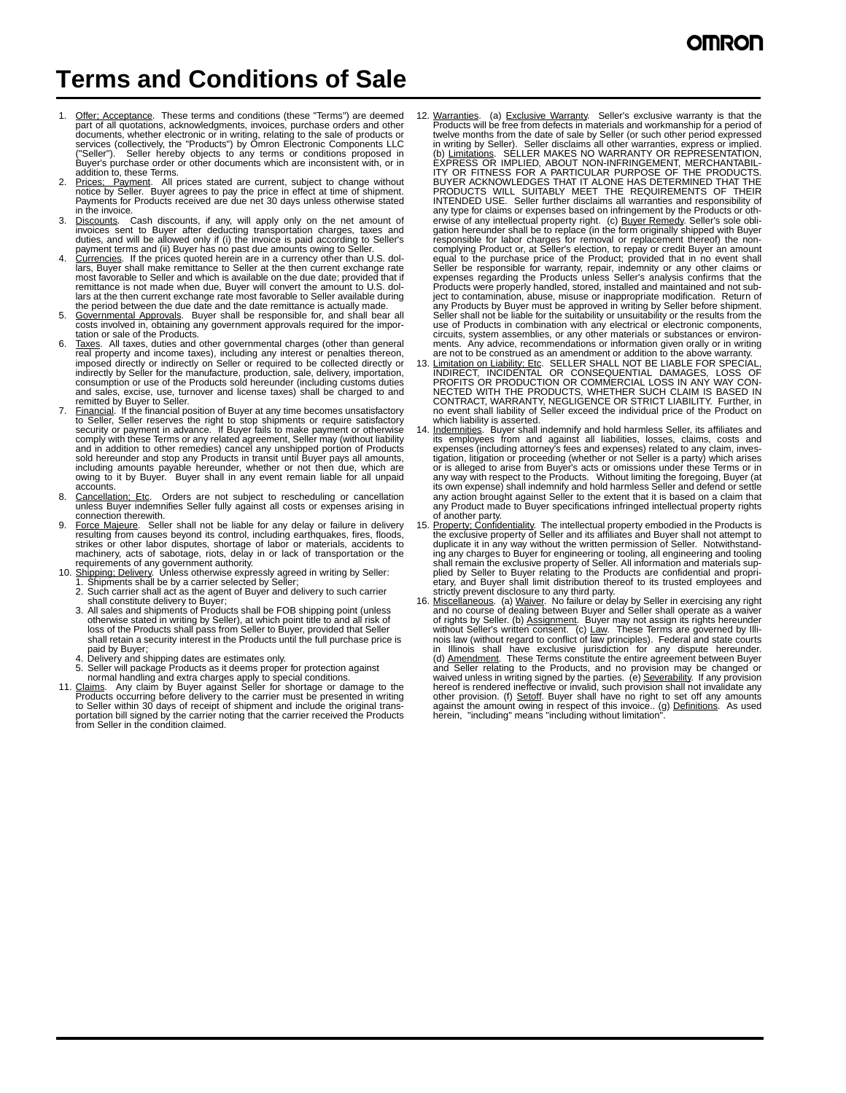## **Terms and Conditions of Sale**

- 1. Offer: Acceptance. These terms and conditions (these "Terms") are deemed<br>part of all quotations, acknowledgments, invoices, purchase orders and other<br>documents, whether electronic or in writing, relating to the sale of services (collectively, the "Products") by Omron Electronic Components LLC ("Seller"). Seller hereby objects to any terms or conditions proposed in Buyer's purchase order or other documents which are inconsistent with, or in addition to, these Terms.
- Prices; Payment. All prices stated are current, subject to change without notice by Seller. Buyer agrees to pay the price in effect at time of shipment. Payments for Products received are due net 30 days unless otherwise stated n the invoice.
- 3. Discounts. Cash discounts, if any, will apply only on the net amount of invoices sent to Buyer after deducting transportation charges, taxes and duties, and will be allowed only if (i) the invoice is paid according to Seller's
- payment terms and (ii) Buyer has no past due amounts owing to Seller.<br>4. Currencies. If the prices quoted herein are in a currency other than U.S. dollars, Buyer shall make remittance to Seller at the then current exchange rate most favorable to Seller and which is available on the due date; provided that if remittance is not made when due, Buyer will convert the amount to U.S. dollars at the then current exchange rate most favorable to Seller available during the period between the due date and the date remittance is actually made.
- 5. Governmental Approvals. Buyer shall be responsible for, and shall bear all costs involved in, obtaining any government approvals required for the importation or sale of the Products.
- 6. Taxes. All taxes, duties and other governmental charges (other than general reap property and income taxes), including any interest or penalties thereon, imposed directly or indirectly on Seller or required to be collec consumption or use of the Products sold hereunder (including customs duties and sales, excise, use, turnover and license taxes) shall be charged to and remitted by Buyer to Seller.
- 7. <u>Financial</u>. If the financial position of Buyer at any time becomes unsatisfactory<br>to Seller, Seller reserves the right to stop shipments or require satisfactory<br>security or payment in advance. If Buyer fails to make pa comply with these Terms or any related agreement, Seller may (without liability<br>and in addition to other remedies) cancel any unshipped portion of Products<br>sold hereunder and stop any Products in transit until Buyer pays a
- 8. Cancellation; Etc. Orders are not subject to rescheduling or cancellation unless Buyer indemnifies Seller fully against all costs or expenses arising in connection therewith.
- 9. Force Majeure. Seller shall not be liable for any delay or failure in delivery resulting from causes beyond its control, including earthquakes, fires, floods, strikes or other labor disputes, shortage of labor or materials, accidents to machinery, acts of sabotage, riots, delay in or lack of transpor
- - 2. Such carrier shall act as the agent of Buyer and delivery to such carrier shall constitute delivery to Buyer;
	- 3. All sales and shipments of Products shall be FOB shipping point (unless otherwise stated in writing by Seller), at which point title to and all risk of<br>loss of the Products shall pass from Seller to Buyer, provided that Seller<br>shall retain a security interest in the Products until the full pur paid by Buver
	-
	-
	-
- 4. Delivery and shipping dates are estimates only.<br>5. Seller will package Products as it deems proper for protection against<br>normal handling and extra charges apply to special conditions.<br>11. Claims. Any claim by Buyer aga to Seller within 30 days of receipt of shipment and include the original transportation bill signed by the carrier noting that the carrier received the Products from Seller in the condition claimed.
- 12. Warranties. (a) Exclusive Warranty. Seller's exclusive warranty is that the Products will be free from defects in materials and workmanship for a period of twelve months from the date of sale by Seller (or such other period expressed in writing by Seller). Seller disclaims all other warranties, express or implied.<br>(b) Limitations. SELLER MAKES NO WARRANTY OR REPRESENTATION,<br>EXPRESS OR IMPLIED, ABOUT NON-INFRINGEMENT, MERCHANTABIL-<br>ITY OR FITNESS FOR A PRODUCTS WILL SUITABLY MEET THE REQUIREMENTS OF THEIR INTENDED USE. Seller further disclaims all warranties and responsibility of any type for claims or expenses based on infringement by the Products or otherwise of any intellectual property right. (c) <u>Buyer Remedy</u>. Seller's sole obli-<br>gation hereunder shall be to replace (in the form originally shipped with Buyer responsible for labor charges for removal or replacement thereof) the non-<br>complying Product or, at Seller's election, to repay or credit Buyer an amount<br>equal to the purchase price of the Product; provided that in no even Products were properly handled, stored, installed and maintained and not subject to contamination, abuse, misuse or inappropriate modification. Return of any Products by Buyer must be approved in writing by Seller before shipment. Seller shall not be liable for the suitability or unsuitability or the results from the use of Products in combination with any electrical or electronic components,
- circuits, system assemblies, or any other materials or substances or environ-<br>ments. Any advice, recommendations or information given orally or in writing<br>are not to be construed as an amendment or addition to the above wa which liability is asserted.
- Indemnities. Buyer shall indemnify and hold harmless Seller, its affiliates and its employees from and against all liabilities, losses, claims, costs and<br>expenses (including attorney's fees and expenses) related to any claim, inves-<br>tigation, litigation or proceeding (whether or not Seller is a party) any Product made to Buyer specifications infringed intellectual property rights of another party.
- 15. <u>Property: Confidentiality</u>. The intellectual property embodied in the Products is the exclusive property of Seller and its affiliates and Buyer shall not attempt to<br>duplicate it in any way without the written permissi ing any charges to Buyer for engineering or tooling, all engineering and tooling<br>shall remain the exclusive property of Seller. All information and materials sup-<br>plied by Seller to Buyer relating to the Products are confi
- strictly prevent disclosure to any third party.<br>16. <u>Miscellaneous</u>. (a) <u>Waiver</u>. No failure or delay by Seller in exercising any right<br>26. and no course of dealing between Buyer and Seller shall operate as a waiver of rights by Seller. (b) Assignment. Buyer may not assign its rights hereunder<br>without Seller's written consent. (c) Law. These Terms are governed by Illi-<br>mois law (without regard to conflict of law principles). Federal a herein, "including" means "including without limitation"